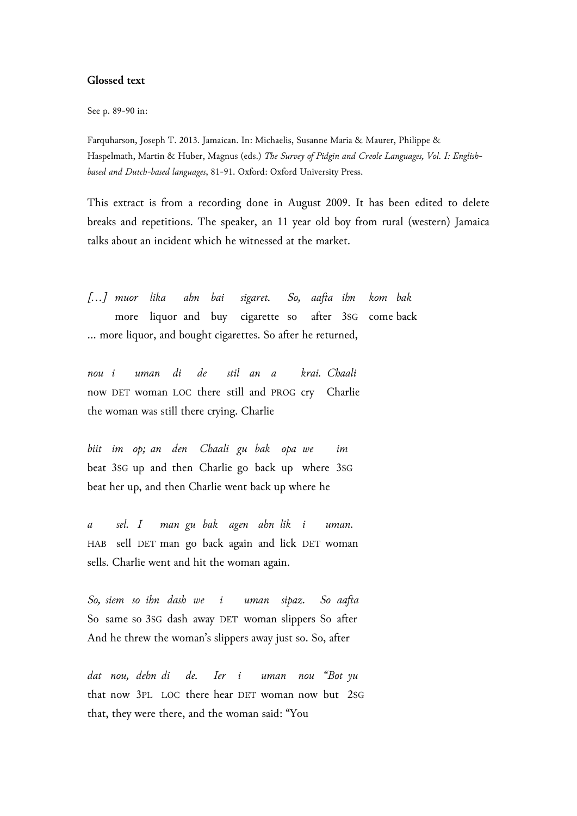## **Glossed text**

See p. 89-90 in:

Farquharson, Joseph T. 2013. Jamaican. In: Michaelis, Susanne Maria & Maurer, Philippe & Haspelmath, Martin & Huber, Magnus (eds.) *The Survey of Pidgin and Creole Languages, Vol. I: Englishbased and Dutch-based languages*, 81-91. Oxford: Oxford University Press.

This extract is from a recording done in August 2009. It has been edited to delete breaks and repetitions. The speaker, an 11 year old boy from rural (western) Jamaica talks about an incident which he witnessed at the market.

*[…] muor lika ahn bai sigaret. So, aafta ihn kom bak* more liquor and buy cigarette so after 3SG come back … more liquor, and bought cigarettes. So after he returned,

*nou i uman di de stil an a krai. Chaali* now DET woman LOC there still and PROG cry Charlie the woman was still there crying. Charlie

*biit im op; an den Chaali gu bak opa we im* beat 3SG up and then Charlie go back up where 3SG beat her up, and then Charlie went back up where he

*a sel. I man gu bak agen ahn lik i uman.* HAB sell DET man go back again and lick DET woman sells. Charlie went and hit the woman again.

*So, siem so ihn dash we i uman sipaz. So aafta* So same so 3SG dash away DET woman slippers So after And he threw the woman's slippers away just so. So, after

*dat nou, dehn di de. Ier i uman nou "Bot yu* that now 3PL LOC there hear DET woman now but 2SG that, they were there, and the woman said: "You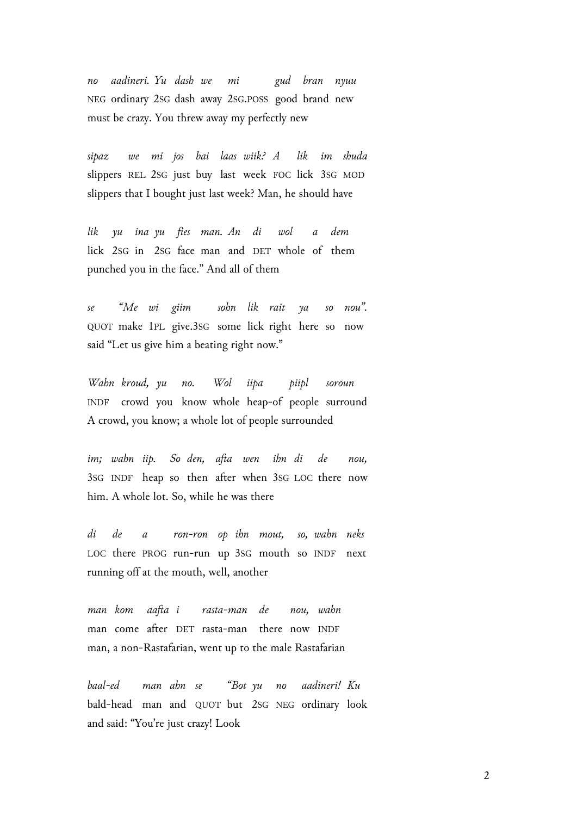*no aadineri. Yu dash we mi gud bran nyuu* NEG ordinary 2SG dash away 2SG.POSS good brand new must be crazy. You threw away my perfectly new

*sipaz we mi jos bai laas wiik? A lik im shuda* slippers REL 2SG just buy last week FOC lick 3SG MOD slippers that I bought just last week? Man, he should have

*lik yu ina yu fies man. An di wol a dem* lick 2SG in 2SG face man and DET whole of them punched you in the face." And all of them

*se "Me wi giim sohn lik rait ya so nou".* QUOT make 1PL give.3SG some lick right here so now said "Let us give him a beating right now."

*Wahn kroud, yu no. Wol iipa piipl soroun* INDF crowd you know whole heap-of people surround A crowd, you know; a whole lot of people surrounded

*im; wahn iip. So den, afta wen ihn di de nou,* 3SG INDF heap so then after when 3SG LOC there now him. A whole lot. So, while he was there

*di de a ron-ron op ihn mout, so, wahn neks* LOC there PROG run-run up 3SG mouth so INDF next running off at the mouth, well, another

*man kom aafta i rasta-man de nou, wahn* man come after DET rasta-man there now INDF man, a non-Rastafarian, went up to the male Rastafarian

*baal-ed man ahn se "Bot yu no aadineri! Ku* bald-head man and QUOT but 2SG NEG ordinary look and said: "You're just crazy! Look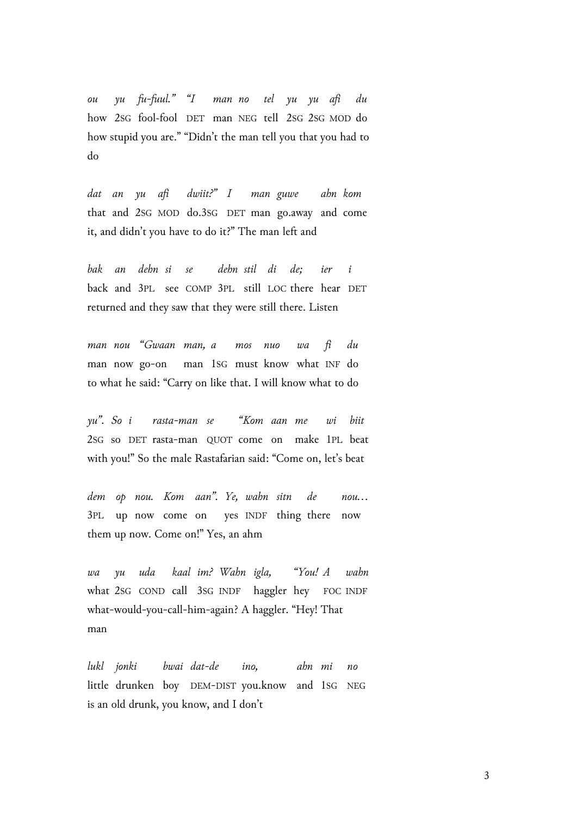*ou yu fu-fuul." "I man no tel yu yu afi du* how 2SG fool~fool DET man NEG tell 2SG 2SG MOD do how stupid you are." "Didn't the man tell you that you had to do

*dat an yu afi dwiit?" I man guwe ahn kom* that and 2SG MOD do.3SG DET man go.away and come it, and didn't you have to do it?" The man left and

*bak an dehn si se dehn stil di de; ier i* back and 3PL see COMP 3PL still LOC there hear DET returned and they saw that they were still there. Listen

*man nou "Gwaan man, a mos nuo wa fi du* man now go-on man 1SG must know what INF do to what he said: "Carry on like that. I will know what to do

*yu". So i rasta-man se "Kom aan me wi biit* 2SG so DET rasta-man QUOT come on make 1PL beat with you!" So the male Rastafarian said: "Come on, let's beat

*dem op nou. Kom aan". Ye, wahn sitn de nou…* 3PL up now come on yes INDF thing there now them up now. Come on!" Yes, an ahm

*wa yu uda kaal im? Wahn igla, "You! A wahn* what 2SG COND call 3SG INDF haggler hey FOC INDF what-would-you-call-him-again? A haggler. "Hey! That man

*lukl jonki bwai dat-de ino, ahn mi no* little drunken boy DEM-DIST you.know and 1SG NEG is an old drunk, you know, and I don't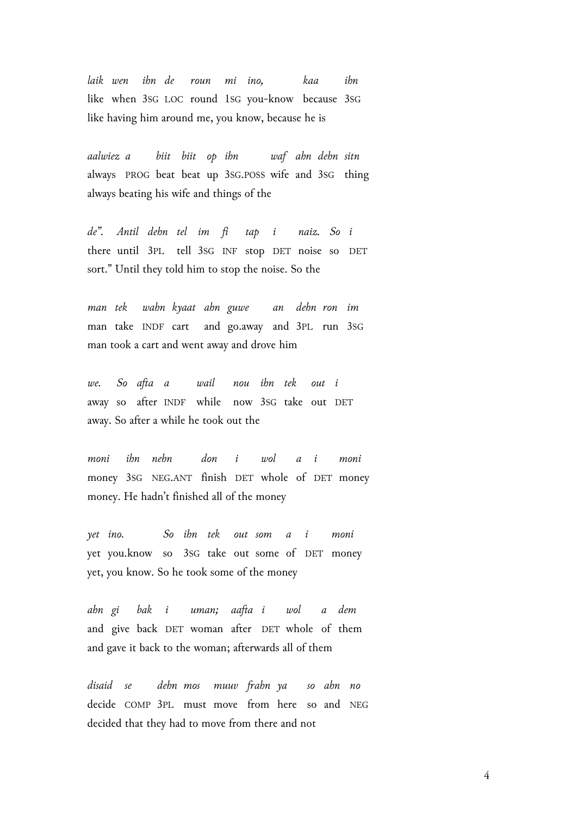*laik wen ihn de roun mi ino, kaa ihn* like when 3SG LOC round 1SG you-know because 3SG like having him around me, you know, because he is

*aalwiez a biit biit op ihn waf ahn dehn sitn* always PROG beat beat up 3SG.POSS wife and 3SG thing always beating his wife and things of the

*de". Antil dehn tel im fi tap i naiz. So i* there until 3PL tell 3SG INF stop DET noise so DET sort." Until they told him to stop the noise. So the

*man tek wahn kyaat ahn guwe an dehn ron im* man take INDF cart and go.away and 3PL run 3SG man took a cart and went away and drove him

*we. So afta a wail nou ihn tek out i* away so after INDF while now 3SG take out DET away. So after a while he took out the

*moni ihn nehn don i wol a i moni* money 3SG NEG.ANT finish DET whole of DET money money. He hadn't finished all of the money

*yet ino. So ihn tek out som a i moni* yet you.know so 3SG take out some of DET money yet, you know. So he took some of the money

*ahn gi bak i uman; aafta i wol a dem* and give back DET woman after DET whole of them and gave it back to the woman; afterwards all of them

*disaid se dehn mos muuv frahn ya so ahn no* decide COMP 3PL must move from here so and NEG decided that they had to move from there and not